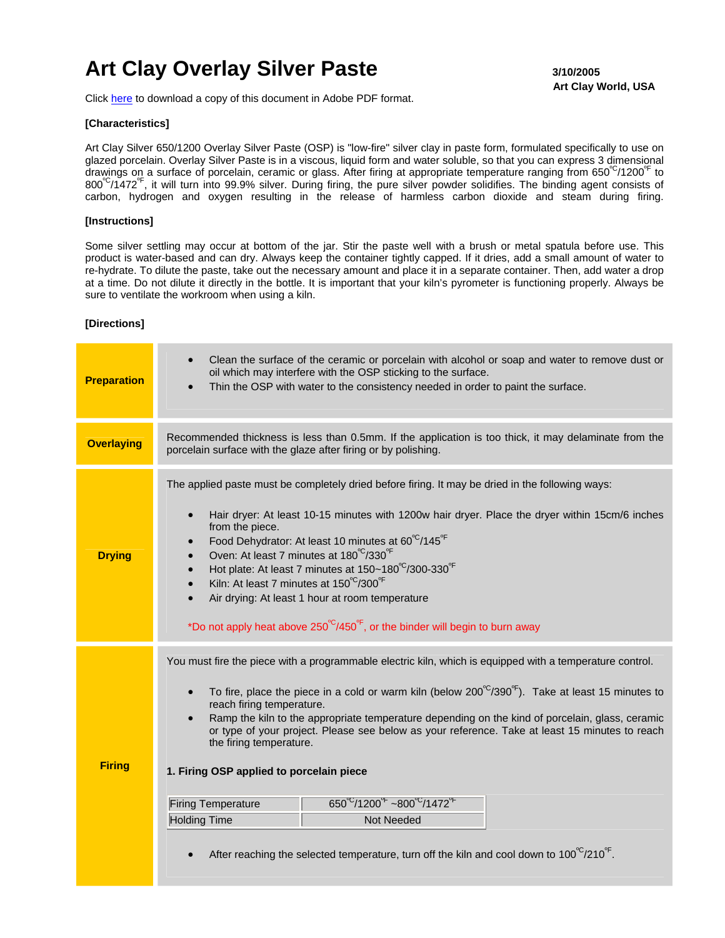# Art Clay Overlay Silver Paste **3/10/2005**

 **Art Clay World, USA** 

Click [here](http://artclayusa.com/pdf/instructions_pdf/Overlay_Paste.pdf) to download a copy of this document in Adobe PDF format.

### **[Characteristics]**

Art Clay Silver 650/1200 Overlay Silver Paste (OSP) is "low-fire" silver clay in paste form, formulated specifically to use on glazed porcelain. Overlay Silver Paste is in a viscous, liquid form and water soluble, so that you can express 3 dimensional drawings on a surface of porcelain, ceramic or glass. After firing at appropriate temperature ranging from 650°C/1200°F to  $800^{\circ}$ /1472<sup>°F</sup>, it will turn into 99.9% silver. During firing, the pure silver powder solidifies. The binding agent consists of carbon, hydrogen and oxygen resulting in the release of harmless carbon dioxide and steam during firing.

### **[Instructions]**

Some silver settling may occur at bottom of the jar. Stir the paste well with a brush or metal spatula before use. This product is water-based and can dry. Always keep the container tightly capped. If it dries, add a small amount of water to re-hydrate. To dilute the paste, take out the necessary amount and place it in a separate container. Then, add water a drop at a time. Do not dilute it directly in the bottle. It is important that your kiln's pyrometer is functioning properly. Always be sure to ventilate the workroom when using a kiln.

#### **[Directions]**

| <b>Preparation</b> | Clean the surface of the ceramic or porcelain with alcohol or soap and water to remove dust or<br>$\bullet$<br>oil which may interfere with the OSP sticking to the surface.<br>Thin the OSP with water to the consistency needed in order to paint the surface.<br>$\bullet$                                                                                                                                                                                                                                                                                                                                                                                                                                                                                                                       |  |  |  |  |  |  |
|--------------------|-----------------------------------------------------------------------------------------------------------------------------------------------------------------------------------------------------------------------------------------------------------------------------------------------------------------------------------------------------------------------------------------------------------------------------------------------------------------------------------------------------------------------------------------------------------------------------------------------------------------------------------------------------------------------------------------------------------------------------------------------------------------------------------------------------|--|--|--|--|--|--|
| <b>Overlaying</b>  | Recommended thickness is less than 0.5mm. If the application is too thick, it may delaminate from the<br>porcelain surface with the glaze after firing or by polishing.                                                                                                                                                                                                                                                                                                                                                                                                                                                                                                                                                                                                                             |  |  |  |  |  |  |
| <b>Drying</b>      | The applied paste must be completely dried before firing. It may be dried in the following ways:<br>Hair dryer: At least 10-15 minutes with 1200w hair dryer. Place the dryer within 15cm/6 inches<br>$\bullet$<br>from the piece.<br>Food Dehydrator: At least 10 minutes at 60°C/145°F<br>$\bullet$<br>Oven: At least 7 minutes at 180°C/330°F<br>$\bullet$<br>Hot plate: At least 7 minutes at 150~180°C/300-330°F<br>$\bullet$<br>Kiln: At least 7 minutes at 150°C/300°F<br>$\bullet$<br>Air drying: At least 1 hour at room temperature<br>$\bullet$<br>*Do not apply heat above $250^{\circ}$ C/450 <sup>°</sup> , or the binder will begin to burn away                                                                                                                                     |  |  |  |  |  |  |
| <b>Firing</b>      | You must fire the piece with a programmable electric kiln, which is equipped with a temperature control.<br>To fire, place the piece in a cold or warm kiln (below $200^{\circ}$ /390 $^{\circ}$ ). Take at least 15 minutes to<br>reach firing temperature.<br>Ramp the kiln to the appropriate temperature depending on the kind of porcelain, glass, ceramic<br>or type of your project. Please see below as your reference. Take at least 15 minutes to reach<br>the firing temperature.<br>1. Firing OSP applied to porcelain piece<br>$650^{\circ}$ /1200 $^{\circ}$ ~800 $^{\circ}$ /1472 $^{\circ}$<br><b>Firing Temperature</b><br><b>Holding Time</b><br><b>Not Needed</b><br>After reaching the selected temperature, turn off the kiln and cool down to $100^{\circ}$ /210 $^{\circ}$ . |  |  |  |  |  |  |